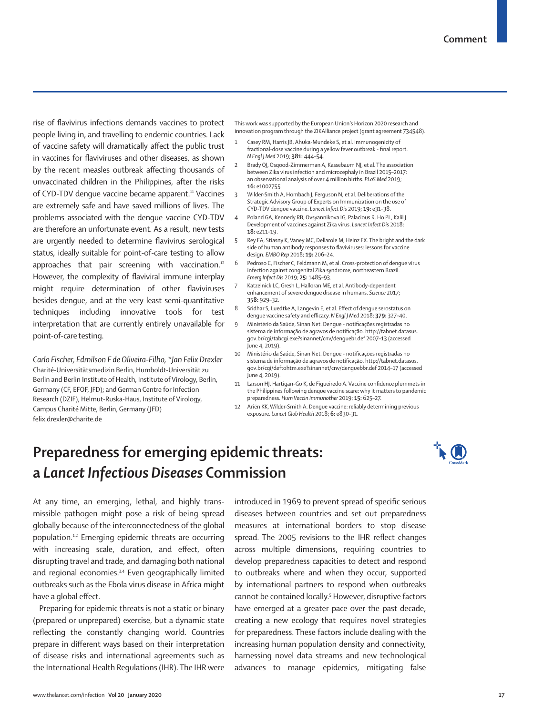rise of flavivirus infections demands vaccines to protect people living in, and travelling to endemic countries. Lack of vaccine safety will dramatically affect the public trust in vaccines for flaviviruses and other diseases, as shown by the recent measles outbreak affecting thousands of unvaccinated children in the Philippines, after the risks of CYD-TDV dengue vaccine became apparent.<sup>11</sup> Vaccines are extremely safe and have saved millions of lives. The problems associated with the dengue vaccine CYD-TDV are therefore an unfortunate event. As a result, new tests are urgently needed to determine flavivirus serological status, ideally suitable for point-of-care testing to allow approaches that pair screening with vaccination.<sup>12</sup> However, the complexity of flaviviral immune interplay might require determination of other flaviviruses besides dengue, and at the very least semi-quantitative techniques including innovative tools for test interpretation that are currently entirely unavailable for point-of-care testing.

*Carlo Fischer, Edmilson F de Oliveira-Filho, \*Jan Felix Drexler* Charité-Universitätsmedizin Berlin, Humboldt-Universität zu Berlin and Berlin Institute of Health, Institute of Virology, Berlin, Germany (CF, EFOF, JFD); and German Centre for Infection Research (DZIF), Helmut-Ruska-Haus, Institute of Virology, Campus Charité Mitte, Berlin, Germany (JFD) felix.drexler@charite.de

This work was supported by the European Union's Horizon 2020 research and innovation program through the ZIKAlliance project (grant agreement 734548).

- Casey RM, Harris JB, Ahuka-Mundeke S, et al. Immunogenicity of fractional-dose vaccine during a yellow fever outbreak - final report. *N Engl J Med* 2019; **381:** 444–54.
- Brady OJ, Osgood-Zimmerman A, Kassebaum NJ, et al. The association between Zika virus infection and microcephaly in Brazil 2015–2017: an observational analysis of over 4 million births. *PLoS Med* 2019; **16:** e1002755.
- 3 Wilder-Smith A, Hombach J, Ferguson N, et al. Deliberations of the Strategic Advisory Group of Experts on Immunization on the use of CYD-TDV dengue vaccine. *Lancet Infect Dis* 2019; **19:** e31–38.
- 4 Poland GA, Kennedy RB, Ovsyannikova IG, Palacious R, Ho PL, Kalil J. Development of vaccines against Zika virus. *Lancet Infect Dis* 2018; **18:** e211–19.
- Rey FA, Stiasny K, Vaney MC, Dellarole M, Heinz FX. The bright and the dark side of human antibody responses to flaviviruses: lessons for vaccine design. *EMBO Rep* 2018; **19:** 206–24.
- Pedroso C, Fischer C, Feldmann M, et al. Cross-protection of dengue virus infection against congenital Zika syndrome, northeastern Brazil. *Emerg Infect Dis* 2019; **25:** 1485–93.
- Katzelnick LC, Gresh L, Halloran ME, et al. Antibody-dependent enhancement of severe dengue disease in humans. *Science* 2017; **358:** 929–32.
- 8 Sridhar S, Luedtke A, Langevin E, et al. Effect of dengue serostatus on dengue vaccine safety and efficacy. *N Engl J Med* 2018; **379:** 327–40.
- 9 Ministério da Saúde, Sinan Net. Dengue notificações registradas no sistema de informação de agravos de notificação. http://tabnet.datasus. gov.br/cgi/tabcgi.exe?sinannet/cnv/denguebr.def 2007–13 (accessed June 4, 2019).
- 10 Ministério da Saúde, Sinan Net. Dengue notificações registradas no sistema de informação de agravos de notificação. http://tabnet.datasus. gov.br/cgi/deftohtm.exe?sinannet/cnv/denguebbr.def 2014–17 (accessed June 4, 2019).
- 11 Larson HJ, Hartigan-Go K, de Figueiredo A. Vaccine confidence plummets in the Philippines following dengue vaccine scare: why it matters to pandemic preparedness. *Hum Vaccin Immunother* 2019; **15:** 625–27.
- 12 Ariën KK, Wilder-Smith A. Dengue vaccine: reliably determining previous exposure. *Lancet Glob Health* 2018; **6:** e830–31.

## **Preparedness for emerging epidemic threats: a** *Lancet Infectious Diseases* **Commission**



At any time, an emerging, lethal, and highly transmissible pathogen might pose a risk of being spread globally because of the interconnectedness of the global population.1,2 Emerging epidemic threats are occurring with increasing scale, duration, and effect, often disrupting travel and trade, and damaging both national and regional economies.<sup>3,4</sup> Even geographically limited outbreaks such as the Ebola virus disease in Africa might have a global effect.

Preparing for epidemic threats is not a static or binary (prepared or unprepared) exercise, but a dynamic state reflecting the constantly changing world. Countries prepare in different ways based on their interpretation of disease risks and international agreements such as the International Health Regulations (IHR). The IHR were introduced in 1969 to prevent spread of specific serious diseases between countries and set out preparedness measures at international borders to stop disease spread. The 2005 revisions to the IHR reflect changes across multiple dimensions, requiring countries to develop preparedness capacities to detect and respond to outbreaks where and when they occur, supported by international partners to respond when outbreaks cannot be contained locally.<sup>5</sup> However, disruptive factors have emerged at a greater pace over the past decade, creating a new ecology that requires novel strategies for preparedness. These factors include dealing with the increasing human population density and connectivity, harnessing novel data streams and new technological advances to manage epidemics, mitigating false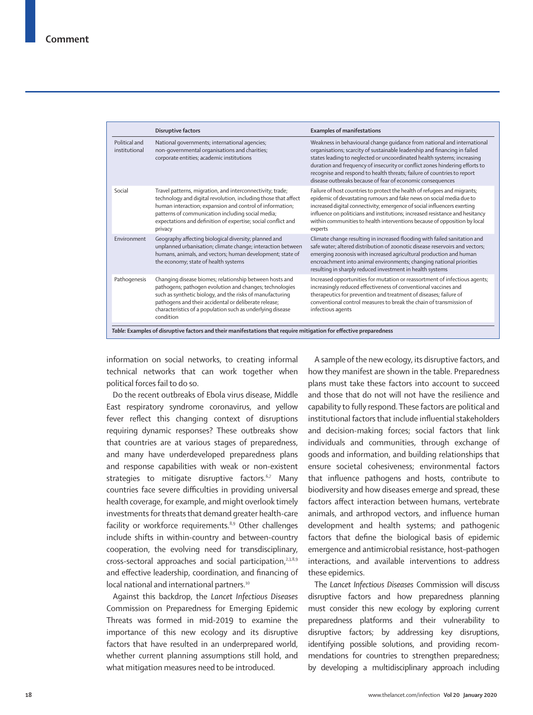|                                | Disruptive factors                                                                                                                                                                                                                                                                                                       | <b>Examples of manifestations</b>                                                                                                                                                                                                                                                                                                                                                                                                                       |
|--------------------------------|--------------------------------------------------------------------------------------------------------------------------------------------------------------------------------------------------------------------------------------------------------------------------------------------------------------------------|---------------------------------------------------------------------------------------------------------------------------------------------------------------------------------------------------------------------------------------------------------------------------------------------------------------------------------------------------------------------------------------------------------------------------------------------------------|
| Political and<br>institutional | National governments; international agencies;<br>non-governmental organisations and charities;<br>corporate entities; academic institutions                                                                                                                                                                              | Weakness in behavioural change quidance from national and international<br>organisations; scarcity of sustainable leadership and financing in failed<br>states leading to neglected or uncoordinated health systems; increasing<br>duration and frequency of insecurity or conflict zones hindering efforts to<br>recognise and respond to health threats; failure of countries to report<br>disease outbreaks because of fear of economic consequences |
| Social                         | Travel patterns, migration, and interconnectivity; trade;<br>technology and digital revolution, including those that affect<br>human interaction; expansion and control of information;<br>patterns of communication including social media;<br>expectations and definition of expertise; social conflict and<br>privacy | Failure of host countries to protect the health of refugees and migrants;<br>epidemic of devastating rumours and fake news on social media due to<br>increased digital connectivity; emergence of social influencers exerting<br>influence on politicians and institutions; increased resistance and hesitancy<br>within communities to health interventions because of opposition by local<br>experts                                                  |
| Environment                    | Geography affecting biological diversity; planned and<br>unplanned urbanisation; climate change; interaction between<br>humans, animals, and vectors; human development; state of<br>the economy; state of health systems                                                                                                | Climate change resulting in increased flooding with failed sanitation and<br>safe water; altered distribution of zoonotic disease reservoirs and vectors;<br>emerging zoonosis with increased agricultural production and human<br>encroachment into animal environments; changing national priorities<br>resulting in sharply reduced investment in health systems                                                                                     |
| Pathogenesis                   | Changing disease biomes; relationship between hosts and<br>pathogens; pathogen evolution and changes; technologies<br>such as synthetic biology, and the risks of manufacturing<br>pathogens and their accidental or deliberate release;<br>characteristics of a population such as underlying disease<br>condition      | Increased opportunities for mutation or reassortment of infectious agents;<br>increasingly reduced effectiveness of conventional vaccines and<br>therapeutics for prevention and treatment of diseases; failure of<br>conventional control measures to break the chain of transmission of<br>infectious agents                                                                                                                                          |

information on social networks, to creating informal technical networks that can work together when political forces fail to do so.

Do the recent outbreaks of Ebola virus disease, Middle East respiratory syndrome coronavirus, and yellow fever reflect this changing context of disruptions requiring dynamic responses? These outbreaks show that countries are at various stages of preparedness, and many have underdeveloped preparedness plans and response capabilities with weak or non-existent strategies to mitigate disruptive factors.<sup>6,7</sup> Many countries face severe difficulties in providing universal health coverage, for example, and might overlook timely investments for threats that demand greater health-care facility or workforce requirements.<sup>8,9</sup> Other challenges include shifts in within-country and between-country cooperation, the evolving need for transdisciplinary, cross-sectoral approaches and social participation,<sup>2,3,8,9</sup> and effective leadership, coordination, and financing of local national and international partners.<sup>10</sup>

Against this backdrop, the *Lancet Infectious Diseases* Commission on Preparedness for Emerging Epidemic Threats was formed in mid-2019 to examine the importance of this new ecology and its disruptive factors that have resulted in an underprepared world, whether current planning assumptions still hold, and what mitigation measures need to be introduced.

A sample of the new ecology, its disruptive factors, and how they manifest are shown in the table. Preparedness plans must take these factors into account to succeed and those that do not will not have the resilience and capability to fully respond. These factors are political and institutional factors that include influential stakeholders and decision-making forces; social factors that link individuals and communities, through exchange of goods and information, and building relationships that ensure societal cohesiveness; environmental factors that influence pathogens and hosts, contribute to biodiversity and how diseases emerge and spread, these factors affect interaction between humans, vertebrate animals, and arthropod vectors, and influence human development and health systems; and pathogenic factors that define the biological basis of epidemic emergence and antimicrobial resistance, host–pathogen interactions, and available interventions to address these epidemics.

The *Lancet Infectious Diseases* Commission will discuss disruptive factors and how preparedness planning must consider this new ecology by exploring current preparedness platforms and their vulnerability to disruptive factors; by addressing key disruptions, identifying possible solutions, and providing recommendations for countries to strengthen preparedness; by developing a multidisciplinary approach including